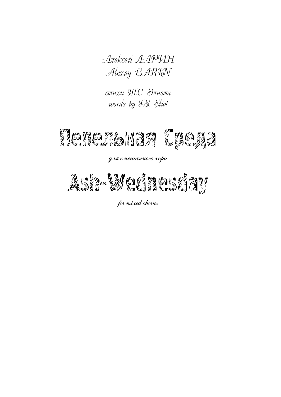Anekcen AAPUH Alexey LARIN

стихи ПІС. Элиота words by J.S. Eliot



для смешанного хора

A Show W a greater of a

for mixed chorus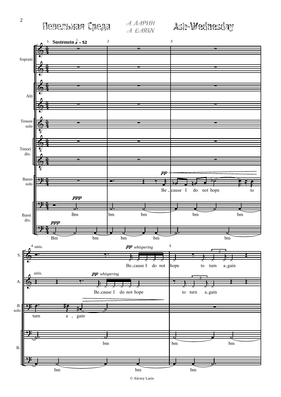

2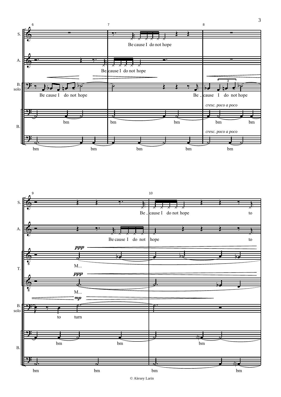

 $\ensuremath{\mathbb{O}}$  Alexey Larin

 $\mathfrak{Z}$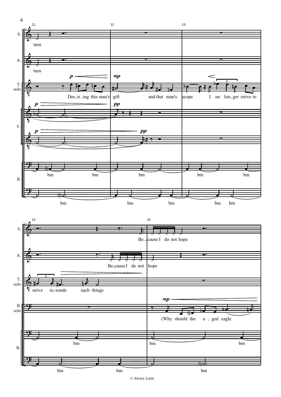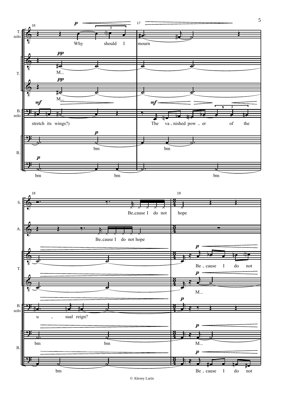

 $\mathfrak{S}$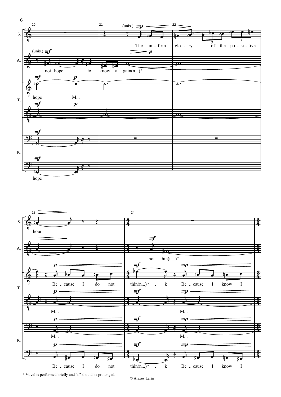



\* Vovel is performed briefly and "n" should be prolonged.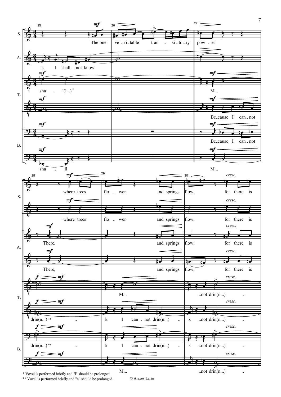

\* Vovel is performed briefly and "I" should be prolonged. \*\* Vovel is performed briefly and "n" should be prolonged.

© Alexey Larin

l,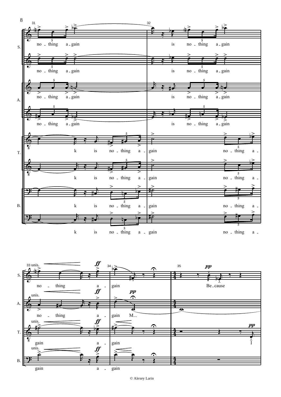

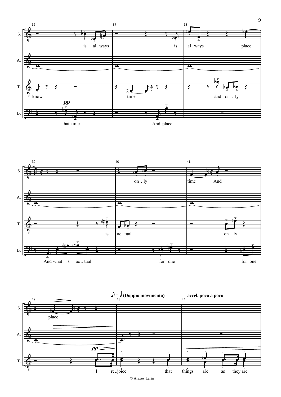





9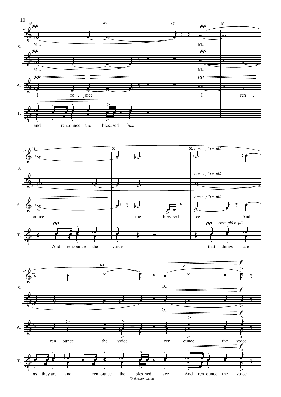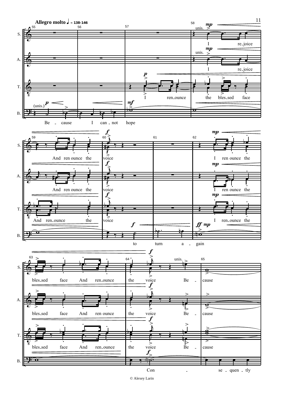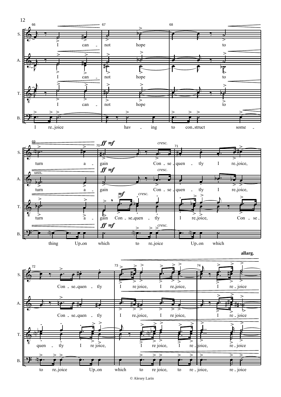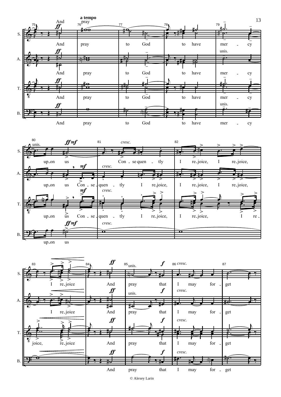





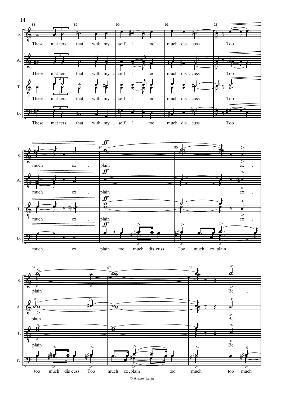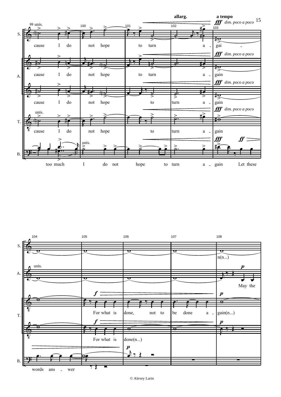

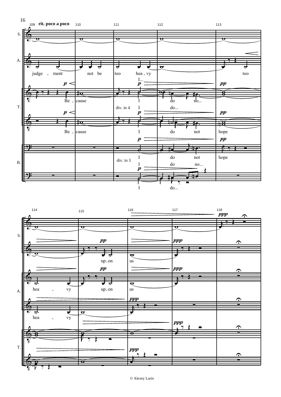

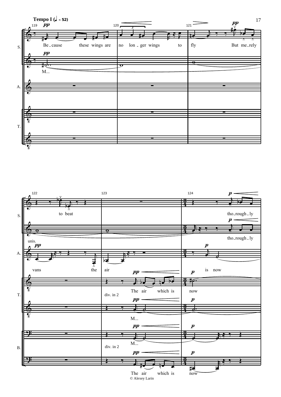

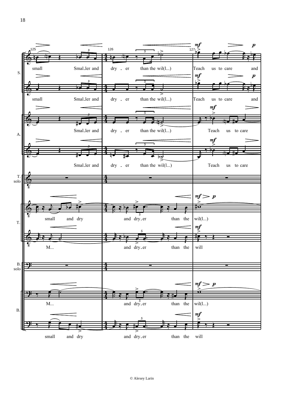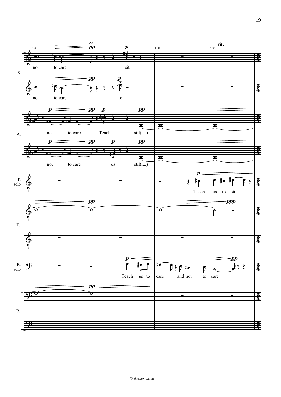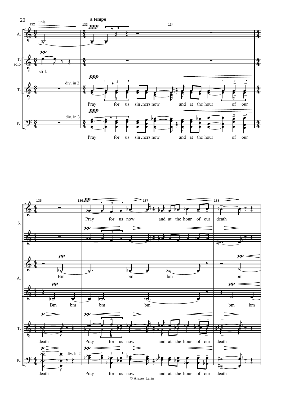

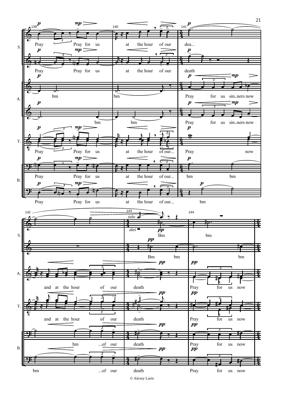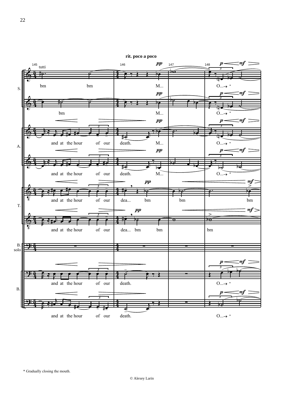

\* Gradually closing the mouth.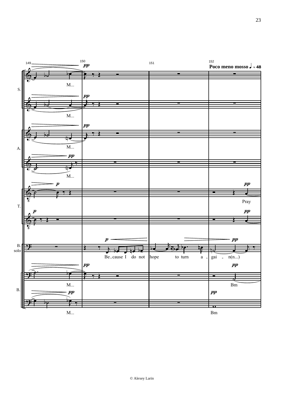

23